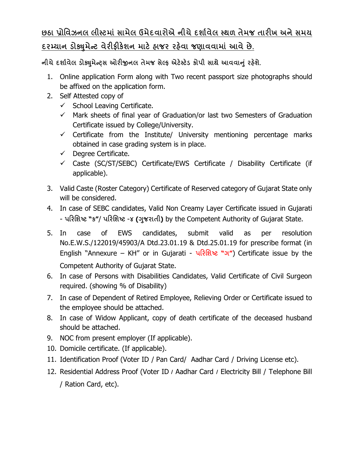## **છઠા ̆ોિવઝનલ લીƨટમાં સામેલ ઉમેદવારોએ નીચે દશા½વેલ ƨથળ તેમજ તારખ અને સમય** <u>દરમ્યાન ડોક્યુમેન્ટ વેરીફીકેશન માટે હાજર રહેવા જણાવવામાં આવે છે.</u>

**નીચેદશા½વેલ ડોɉુમેƛͫસ ઓરĥનલ તેમજ સેƣફ એટ°ƨટ°ડ કોપી સાથે આવવાȵું રહ°શે.**

- 1. Online application Form along with Two recent passport size photographs should be affixed on the application form.
- 2. Self Attested copy of
	- $\checkmark$  School Leaving Certificate.
	- $\checkmark$  Mark sheets of final year of Graduation/or last two Semesters of Graduation Certificate issued by College/University.
	- $\checkmark$  Certificate from the Institute/ University mentioning percentage marks obtained in case grading system is in place.
	- $\checkmark$  Degree Certificate.
	- $\checkmark$  Caste (SC/ST/SEBC) Certificate/EWS Certificate / Disability Certificate (if applicable).
- 3. Valid Caste (Roster Category) Certificate of Reserved category of Gujarat State only will be considered.
- 4. In case of SEBC candidates, Valid Non Creamy Layer Certificate issued in Gujarati - **પરિશƧટ "ક"**/ **પરિશƧટ** -**૪ (Ȥુજરાતી)** by the Competent Authority of Gujarat State.
- 5. In case of EWS candidates, submit valid as per resolution No.E.W.S./122019/45903/A Dtd.23.01.19 & Dtd.25.01.19 for prescribe format (in English "Annexure – KH" or in Gujarati - **પરિશƧટ "ગ"**) Certificate issue by the Competent Authority of Gujarat State.
- 6. In case of Persons with Disabilities Candidates, Valid Certificate of Civil Surgeon required. (showing % of Disability)
- 7. In case of Dependent of Retired Employee, Relieving Order or Certificate issued to the employee should be attached.
- 8. In case of Widow Applicant, copy of death certificate of the deceased husband should be attached.
- 9. NOC from present employer (If applicable).
- 10. Domicile certificate. (If applicable).
- 11. Identification Proof (Voter ID / Pan Card/ Aadhar Card / Driving License etc).
- 12. Residential Address Proof (Voter ID **/** Aadhar Card **/** Electricity Bill / Telephone Bill / Ration Card, etc).